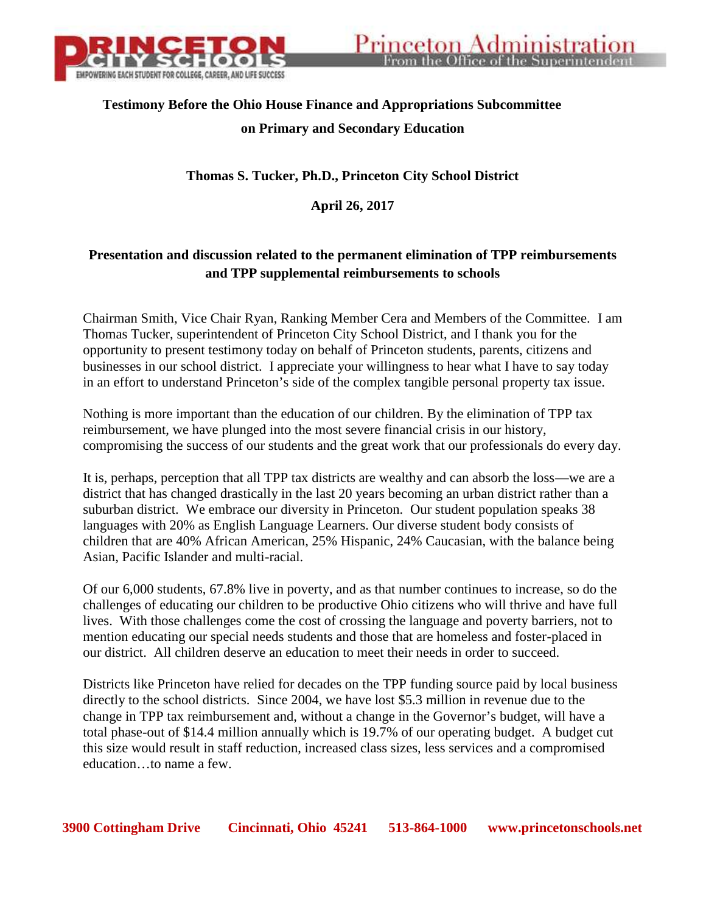

## **Testimony Before the Ohio House Finance and Appropriations Subcommittee on Primary and Secondary Education**

## **Thomas S. Tucker, Ph.D., Princeton City School District**

**April 26, 2017**

## **Presentation and discussion related to the permanent elimination of TPP reimbursements and TPP supplemental reimbursements to schools**

Chairman Smith, Vice Chair Ryan, Ranking Member Cera and Members of the Committee. I am Thomas Tucker, superintendent of Princeton City School District, and I thank you for the opportunity to present testimony today on behalf of Princeton students, parents, citizens and businesses in our school district. I appreciate your willingness to hear what I have to say today in an effort to understand Princeton's side of the complex tangible personal property tax issue.

Nothing is more important than the education of our children. By the elimination of TPP tax reimbursement, we have plunged into the most severe financial crisis in our history, compromising the success of our students and the great work that our professionals do every day.

It is, perhaps, perception that all TPP tax districts are wealthy and can absorb the loss—we are a district that has changed drastically in the last 20 years becoming an urban district rather than a suburban district. We embrace our diversity in Princeton. Our student population speaks 38 languages with 20% as English Language Learners. Our diverse student body consists of children that are 40% African American, 25% Hispanic, 24% Caucasian, with the balance being Asian, Pacific Islander and multi-racial.

Of our 6,000 students, 67.8% live in poverty, and as that number continues to increase, so do the challenges of educating our children to be productive Ohio citizens who will thrive and have full lives. With those challenges come the cost of crossing the language and poverty barriers, not to mention educating our special needs students and those that are homeless and foster-placed in our district. All children deserve an education to meet their needs in order to succeed.

Districts like Princeton have relied for decades on the TPP funding source paid by local business directly to the school districts. Since 2004, we have lost \$5.3 million in revenue due to the change in TPP tax reimbursement and, without a change in the Governor's budget, will have a total phase-out of \$14.4 million annually which is 19.7% of our operating budget. A budget cut this size would result in staff reduction, increased class sizes, less services and a compromised education…to name a few.